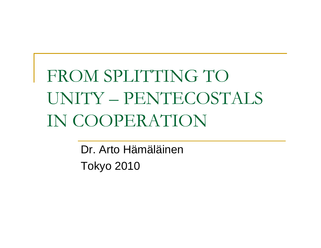## FROM SPLITTING TO UNITY – PENTECOSTALS IN COOPERATION

Dr. Arto HämäläinenTokyo 2010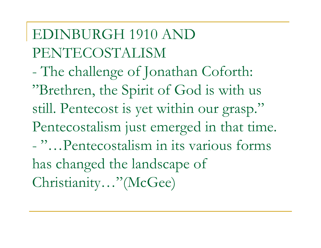EDINBURGH 1910 AND PENTECOSTALISM

- The challenge of Jonathan Coforth: "Brethren, the Spirit of God is with us still. Pentecost is yet within our grasp." Pentecostalism just emerged in that time. - "…Pentecostalism in its various forms has changed the landscape of Christianity…"(McGee)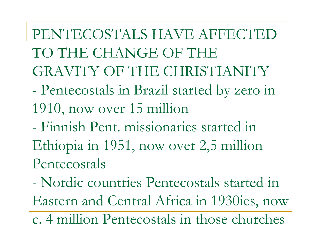PENTECOSTALS HAVE AFFECTED TO THE CHANGE OF THE GRAVITY OF THE CHRISTIANITY

- - Pentecostals in Brazil started by zero in 1910, now over 15 million
- Finnish Pent. missionaries started in Ethiopia in 1951, now over 2,5 million Pentecostals

- Nordic countries Pentecostals started in Eastern and Central Africa in 1930ies, now c. 4 million Pentecostals in those churches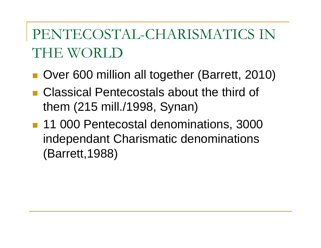PENTECOSTAL-CHARISMATICS IN THE WORLD

- Over 600 million all together (Barrett, 2010)
- Classical Pentecostals about the third of them (215 mill./1998, Synan)
- 11 000 Pentecostal denominations, 3000 independant Charismatic denominations (Barrett,1988)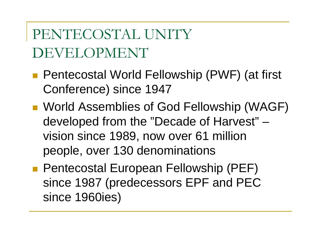## PENTECOSTAL UNITY DEVELOPMENT

- Pentecostal World Fellowship (PWF) (at first Conference) since 1947
- World Assemblies of God Fellowship (WAGF) developed from the "Decade of Harvest" – vision since 1989, now over 61 million people, over 130 denominations
- Pentecostal European Fellowship (PEF) since 1987 (predecessors EPF and PEC since 1960ies)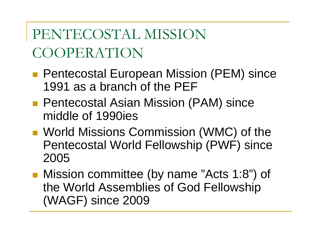PENTECOSTAL MISSION **COOPERATION** 

- **Pentecostal European Mission (PEM) since** 1991 as a branch of the PEF
- Pentecostal Asian Mission (PAM) since middle of 1990ies
- World Missions Commission (WMC) of the Pentecostal World Fellowship (PWF) since 2005
- Mission committee (by name "Acts 1:8") of the World Assemblies of God Fellowship (WAGF) since 2009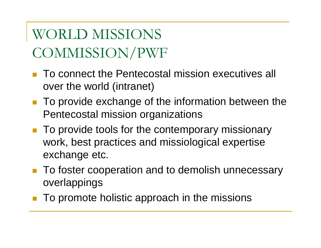WORLD MISSIONS COMMISSION/PWF

- $\mathcal{L}^{\text{max}}$  To connect the Pentecostal mission executives all over the world (intranet)
- П To provide exchange of the information between the Pentecostal mission organizations
- To provide tools for the contemporary missionary work, best practices and missiological expertise exchange etc.
- To foster cooperation and to demolish unnecessary overlappings
- To promote holistic approach in the missions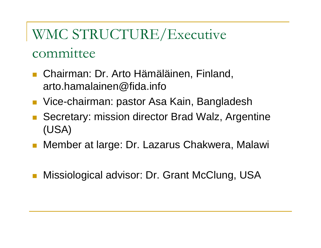## WMC STRUCTURE/Executive committee

- Chairman: Dr. Arto Hämäläinen, Finland, arto.hamalainen@fida.info
- Vice-chairman: pastor Asa Kain, Bangladesh
- $\mathcal{L}^{\text{max}}_{\text{max}}$  Secretary: mission director Brad Walz, Argentine (USA)
- Member at large: Dr. Lazarus Chakwera, Malawi
- Missiological advisor: Dr. Grant McClung, USA